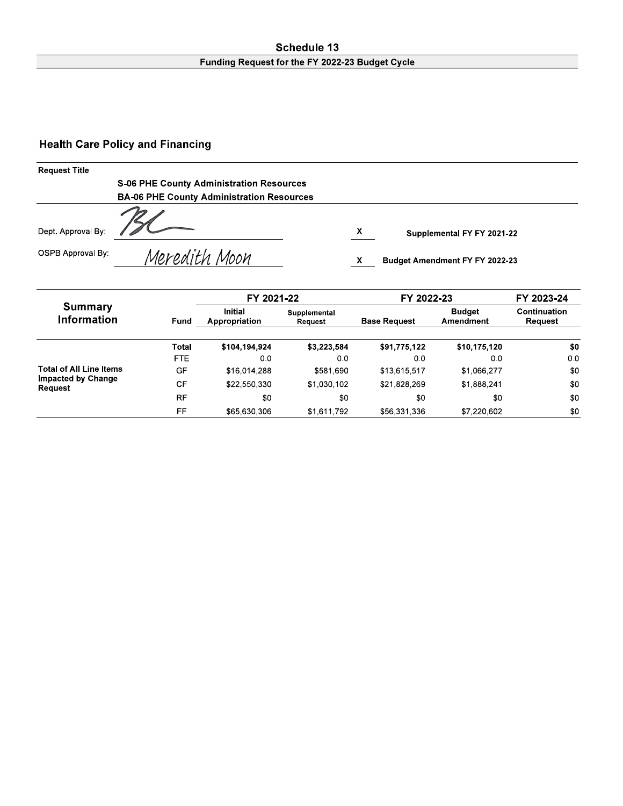#### Schedule 13 Funding Request for the FY 2022-23 Budget Cycle

# **Health Care Policy and Financing**

| <b>Request Title</b> |                                                  |   |                                       |
|----------------------|--------------------------------------------------|---|---------------------------------------|
|                      | <b>S-06 PHE County Administration Resources</b>  |   |                                       |
|                      | <b>BA-06 PHE County Administration Resources</b> |   |                                       |
| Dept. Approval By:   |                                                  | x | Supplemental FY FY 2021-22            |
| OSPB Approval By:    | Meredith Moon                                    |   | <b>Budget Amendment FY FY 2022-23</b> |

|                                      |              | FY 2021-22                      |                         | FY 2022-23          | FY 2023-24                 |                         |  |
|--------------------------------------|--------------|---------------------------------|-------------------------|---------------------|----------------------------|-------------------------|--|
| <b>Summary</b><br><b>Information</b> | Fund         | <b>Initial</b><br>Appropriation | Supplemental<br>Request | <b>Base Request</b> | <b>Budget</b><br>Amendment | Continuation<br>Request |  |
|                                      | <b>Total</b> | \$104,194,924                   | \$3,223,584             | \$91,775,122        | \$10,175,120               | \$0                     |  |
|                                      | <b>FTE</b>   | 0.0                             | 0.0                     | 0.0                 | 0.0                        | 0.0                     |  |
| <b>Total of All Line Items</b>       | GF           | \$16,014,288                    | \$581,690               | \$13,615,517        | \$1,066,277                | \$0                     |  |
| <b>Impacted by Change</b><br>Request | <b>CF</b>    | \$22,550,330                    | \$1,030,102             | \$21,828,269        | \$1,888,241                | \$0                     |  |
|                                      | <b>RF</b>    | \$0                             | \$0                     | \$0                 | \$0                        | \$0                     |  |
|                                      | FF           | \$65,630,306                    | \$1,611,792             | \$56,331,336        | \$7,220,602                | \$0                     |  |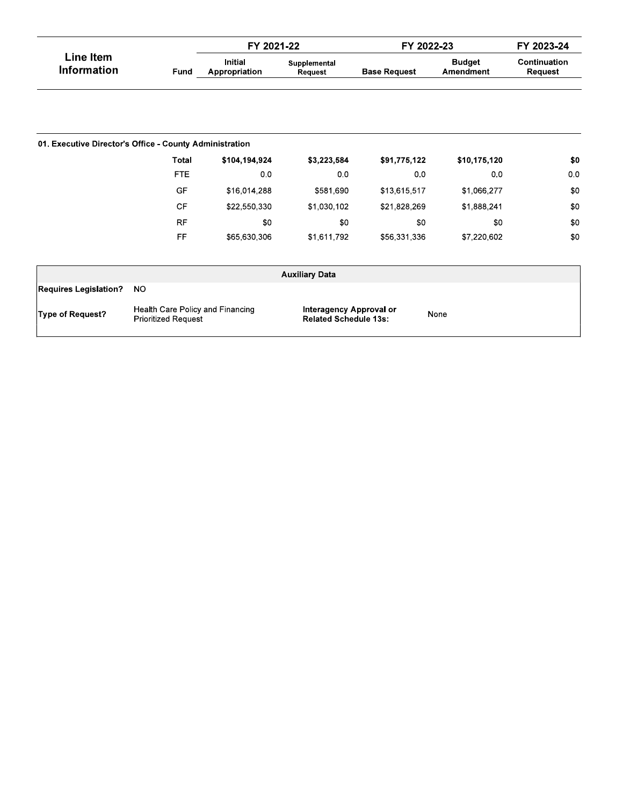|                                                         |                                                                | FY 2021-22                      |                                                                | FY 2022-23          |                            | FY 2023-24              |  |
|---------------------------------------------------------|----------------------------------------------------------------|---------------------------------|----------------------------------------------------------------|---------------------|----------------------------|-------------------------|--|
| Line Item<br><b>Information</b>                         | Fund                                                           | <b>Initial</b><br>Appropriation | Supplemental<br>Request                                        | <b>Base Request</b> | <b>Budget</b><br>Amendment | Continuation<br>Request |  |
|                                                         |                                                                |                                 |                                                                |                     |                            |                         |  |
| 01. Executive Director's Office - County Administration |                                                                |                                 |                                                                |                     |                            |                         |  |
|                                                         | <b>Total</b>                                                   | \$104,194,924                   | \$3,223,584                                                    | \$91,775,122        | \$10,175,120               | \$0                     |  |
|                                                         | <b>FTE</b>                                                     | 0.0                             | 0 <sub>0</sub>                                                 | 0.0                 | 0 <sub>0</sub>             | 0 <sub>0</sub>          |  |
|                                                         | GF                                                             | \$16,014,288                    | \$581,690                                                      | \$13,615,517        | \$1,066,277                | \$0                     |  |
|                                                         | CF                                                             | \$22,550,330                    | \$1,030,102                                                    | \$21,828,269        | \$1,888,241                | \$0                     |  |
|                                                         | <b>RF</b>                                                      | \$0                             | \$0                                                            | \$0                 | \$0                        | \$0                     |  |
|                                                         | FF                                                             | \$65,630,306                    | \$1,611,792                                                    | \$56,331,336        | \$7,220,602                | \$0                     |  |
|                                                         |                                                                |                                 | <b>Auxiliary Data</b>                                          |                     |                            |                         |  |
| <b>Requires Legislation?</b>                            | <b>NO</b>                                                      |                                 |                                                                |                     |                            |                         |  |
| Type of Request?                                        | Health Care Policy and Financing<br><b>Prioritized Request</b> |                                 | <b>Interagency Approval or</b><br><b>Related Schedule 13s:</b> |                     | None                       |                         |  |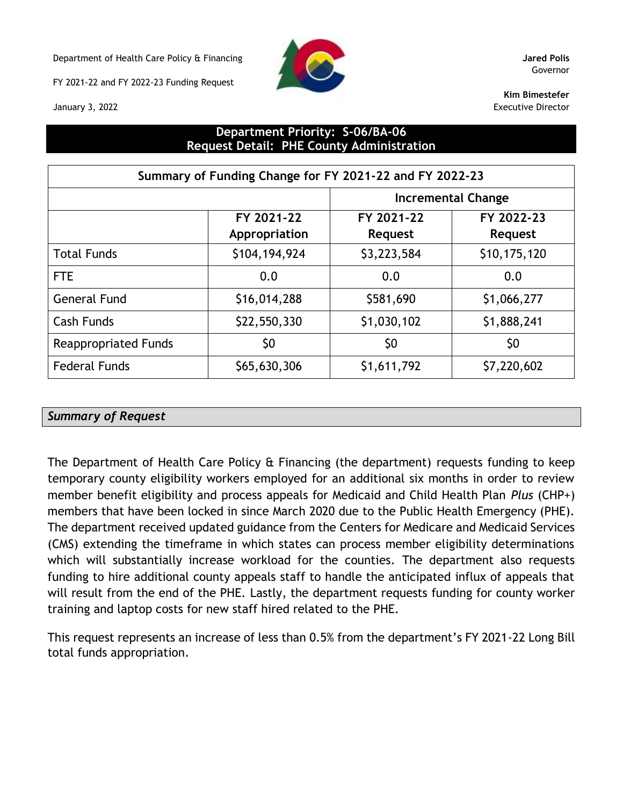Department of Health Care Policy & Financing **Jared Polis**

FY 2021-22 and FY 2022-23 Funding Request

January 3, 2022

Governor

**Kim Bimestefer** Executive Director

# **Department Priority: S-06/BA-06 Request Detail: PHE County Administration**

| Summary of Funding Change for FY 2021-22 and FY 2022-23 |               |                           |              |  |  |  |  |  |
|---------------------------------------------------------|---------------|---------------------------|--------------|--|--|--|--|--|
|                                                         |               | <b>Incremental Change</b> |              |  |  |  |  |  |
|                                                         | FY 2021-22    | FY 2021-22                | FY 2022-23   |  |  |  |  |  |
|                                                         | Appropriation | <b>Request</b>            | Request      |  |  |  |  |  |
| <b>Total Funds</b>                                      | \$104,194,924 | \$3,223,584               | \$10,175,120 |  |  |  |  |  |
| <b>FTE</b>                                              | 0.0           | 0.0                       | 0.0          |  |  |  |  |  |
| <b>General Fund</b>                                     | \$16,014,288  | \$581,690                 | \$1,066,277  |  |  |  |  |  |
| Cash Funds                                              | \$22,550,330  | \$1,030,102               | \$1,888,241  |  |  |  |  |  |
| <b>Reappropriated Funds</b>                             | \$0           | \$0                       | \$0          |  |  |  |  |  |
| <b>Federal Funds</b>                                    | \$65,630,306  | \$1,611,792               | \$7,220,602  |  |  |  |  |  |

#### *Summary of Request*

The Department of Health Care Policy & Financing (the department) requests funding to keep temporary county eligibility workers employed for an additional six months in order to review member benefit eligibility and process appeals for Medicaid and Child Health Plan *Plus* (CHP+) members that have been locked in since March 2020 due to the Public Health Emergency (PHE). The department received updated guidance from the Centers for Medicare and Medicaid Services (CMS) extending the timeframe in which states can process member eligibility determinations which will substantially increase workload for the counties. The department also requests funding to hire additional county appeals staff to handle the anticipated influx of appeals that will result from the end of the PHE. Lastly, the department requests funding for county worker training and laptop costs for new staff hired related to the PHE.

This request represents an increase of less than 0.5% from the department's FY 2021-22 Long Bill total funds appropriation.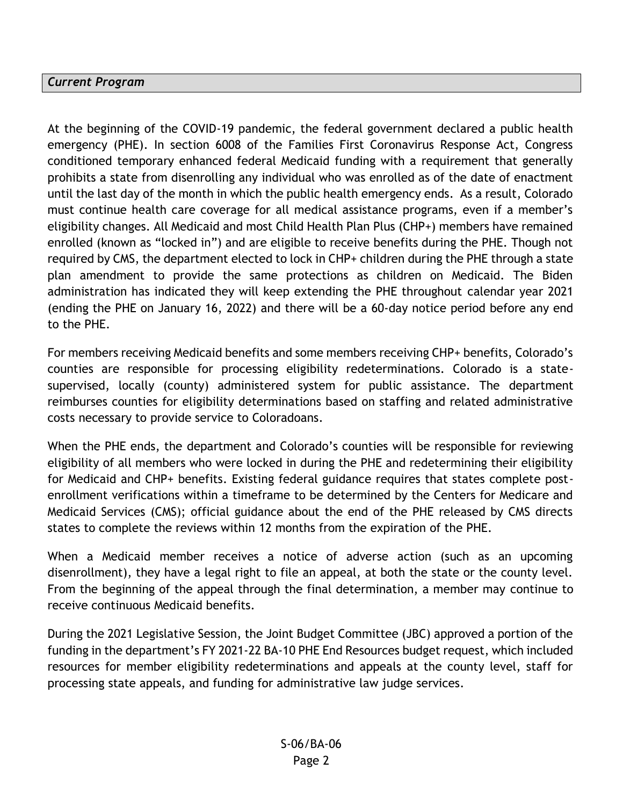#### *Current Program*

At the beginning of the COVID-19 pandemic, the federal government declared a public health emergency (PHE). In section 6008 of the Families First Coronavirus Response Act, Congress conditioned temporary enhanced federal Medicaid funding with a requirement that generally prohibits a state from disenrolling any individual who was enrolled as of the date of enactment until the last day of the month in which the public health emergency ends. As a result, Colorado must continue health care coverage for all medical assistance programs, even if a member's eligibility changes. All Medicaid and most Child Health Plan Plus (CHP+) members have remained enrolled (known as "locked in") and are eligible to receive benefits during the PHE. Though not required by CMS, the department elected to lock in CHP+ children during the PHE through a state plan amendment to provide the same protections as children on Medicaid. The Biden administration has indicated they will keep extending the PHE throughout calendar year 2021 (ending the PHE on January 16, 2022) and there will be a 60-day notice period before any end to the PHE.

For members receiving Medicaid benefits and some members receiving CHP+ benefits, Colorado's counties are responsible for processing eligibility redeterminations. Colorado is a statesupervised, locally (county) administered system for public assistance. The department reimburses counties for eligibility determinations based on staffing and related administrative costs necessary to provide service to Coloradoans.

When the PHE ends, the department and Colorado's counties will be responsible for reviewing eligibility of all members who were locked in during the PHE and redetermining their eligibility for Medicaid and CHP+ benefits. Existing federal guidance requires that states complete postenrollment verifications within a timeframe to be determined by the Centers for Medicare and Medicaid Services (CMS); official guidance about the end of the PHE released by CMS directs states to complete the reviews within 12 months from the expiration of the PHE.

When a Medicaid member receives a notice of adverse action (such as an upcoming disenrollment), they have a legal right to file an appeal, at both the state or the county level. From the beginning of the appeal through the final determination, a member may continue to receive continuous Medicaid benefits.

During the 2021 Legislative Session, the Joint Budget Committee (JBC) approved a portion of the funding in the department's FY 2021-22 BA-10 PHE End Resources budget request, which included resources for member eligibility redeterminations and appeals at the county level, staff for processing state appeals, and funding for administrative law judge services.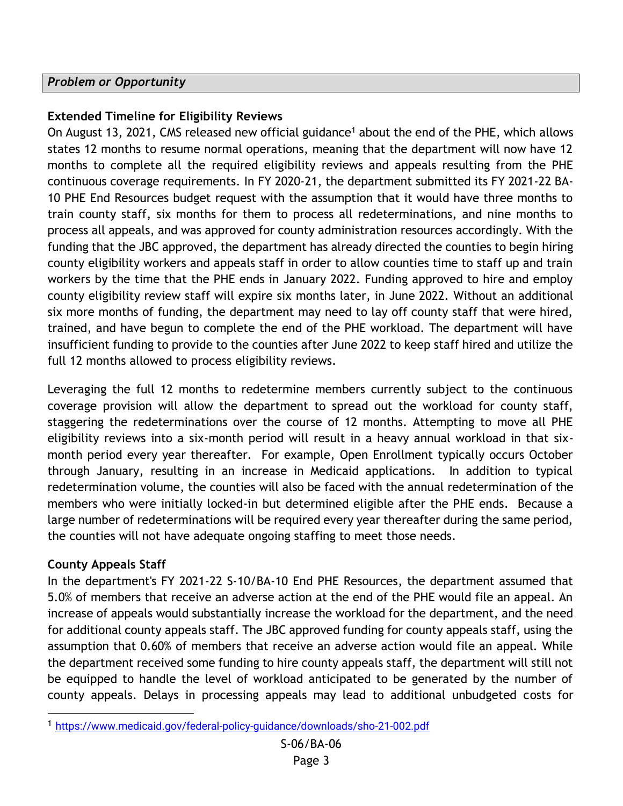#### *Problem or Opportunity*

## **Extended Timeline for Eligibility Reviews**

On August 13, 2021, CMS released new official guidance<sup>1</sup> about the end of the PHE, which allows states 12 months to resume normal operations, meaning that the department will now have 12 months to complete all the required eligibility reviews and appeals resulting from the PHE continuous coverage requirements. In FY 2020-21, the department submitted its FY 2021-22 BA-10 PHE End Resources budget request with the assumption that it would have three months to train county staff, six months for them to process all redeterminations, and nine months to process all appeals, and was approved for county administration resources accordingly. With the funding that the JBC approved, the department has already directed the counties to begin hiring county eligibility workers and appeals staff in order to allow counties time to staff up and train workers by the time that the PHE ends in January 2022. Funding approved to hire and employ county eligibility review staff will expire six months later, in June 2022. Without an additional six more months of funding, the department may need to lay off county staff that were hired, trained, and have begun to complete the end of the PHE workload. The department will have insufficient funding to provide to the counties after June 2022 to keep staff hired and utilize the full 12 months allowed to process eligibility reviews.

Leveraging the full 12 months to redetermine members currently subject to the continuous coverage provision will allow the department to spread out the workload for county staff, staggering the redeterminations over the course of 12 months. Attempting to move all PHE eligibility reviews into a six-month period will result in a heavy annual workload in that sixmonth period every year thereafter. For example, Open Enrollment typically occurs October through January, resulting in an increase in Medicaid applications. In addition to typical redetermination volume, the counties will also be faced with the annual redetermination of the members who were initially locked-in but determined eligible after the PHE ends. Because a large number of redeterminations will be required every year thereafter during the same period, the counties will not have adequate ongoing staffing to meet those needs.

#### **County Appeals Staff**

In the department's FY 2021-22 S-10/BA-10 End PHE Resources, the department assumed that 5.0% of members that receive an adverse action at the end of the PHE would file an appeal. An increase of appeals would substantially increase the workload for the department, and the need for additional county appeals staff. The JBC approved funding for county appeals staff, using the assumption that 0.60% of members that receive an adverse action would file an appeal. While the department received some funding to hire county appeals staff, the department will still not be equipped to handle the level of workload anticipated to be generated by the number of county appeals. Delays in processing appeals may lead to additional unbudgeted costs for

<sup>1</sup> <https://www.medicaid.gov/federal-policy-guidance/downloads/sho-21-002.pdf>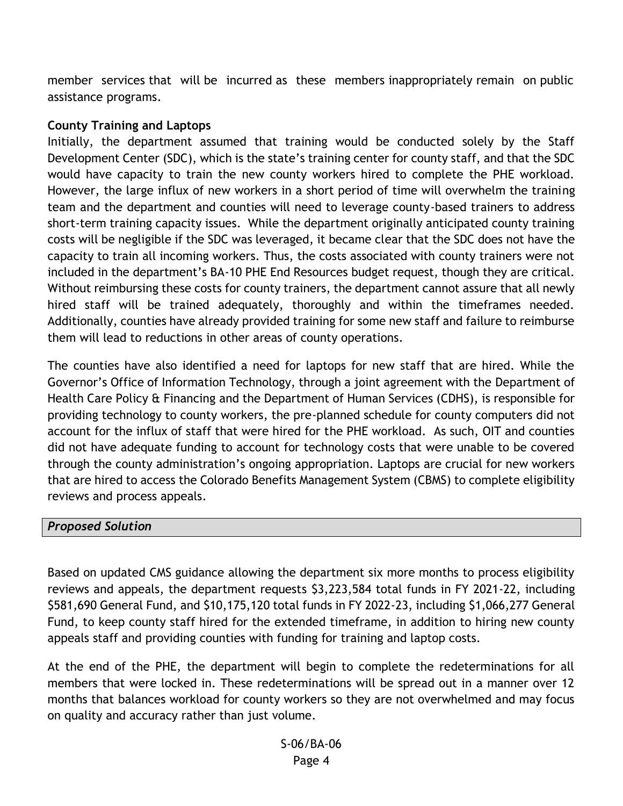member services that will be incurred as these members inappropriately remain on public assistance programs.

### **County Training and Laptops**

Initially, the department assumed that training would be conducted solely by the Staff Development Center (SDC), which is the state's training center for county staff, and that the SDC would have capacity to train the new county workers hired to complete the PHE workload. However, the large influx of new workers in a short period of time will overwhelm the training team and the department and counties will need to leverage county-based trainers to address short-term training capacity issues. While the department originally anticipated county training costs will be negligible if the SDC was leveraged, it became clear that the SDC does not have the capacity to train all incoming workers. Thus, the costs associated with county trainers were not included in the department's BA-10 PHE End Resources budget request, though they are critical. Without reimbursing these costs for county trainers, the department cannot assure that all newly hired staff will be trained adequately, thoroughly and within the timeframes needed. Additionally, counties have already provided training for some new staff and failure to reimburse them will lead to reductions in other areas of county operations.

The counties have also identified a need for laptops for new staff that are hired. While the Governor's Office of Information Technology, through a joint agreement with the Department of Health Care Policy & Financing and the Department of Human Services (CDHS), is responsible for providing technology to county workers, the pre-planned schedule for county computers did not account for the influx of staff that were hired for the PHE workload. As such, OIT and counties did not have adequate funding to account for technology costs that were unable to be covered through the county administration's ongoing appropriation. Laptops are crucial for new workers that are hired to access the Colorado Benefits Management System (CBMS) to complete eligibility reviews and process appeals.

#### *Proposed Solution*

Based on updated CMS guidance allowing the department six more months to process eligibility reviews and appeals, the department requests \$3,223,584 total funds in FY 2021-22, including \$581,690 General Fund, and \$10,175,120 total funds in FY 2022-23, including \$1,066,277 General Fund, to keep county staff hired for the extended timeframe, in addition to hiring new county appeals staff and providing counties with funding for training and laptop costs.

At the end of the PHE, the department will begin to complete the redeterminations for all members that were locked in. These redeterminations will be spread out in a manner over 12 months that balances workload for county workers so they are not overwhelmed and may focus on quality and accuracy rather than just volume.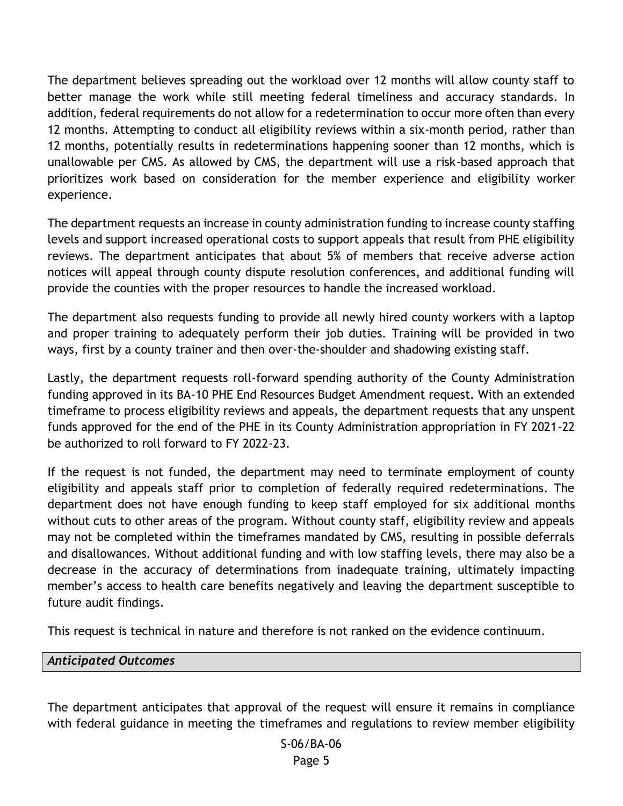The department believes spreading out the workload over 12 months will allow county staff to better manage the work while still meeting federal timeliness and accuracy standards. In addition, federal requirements do not allow for a redetermination to occur more often than every 12 months. Attempting to conduct all eligibility reviews within a six-month period, rather than 12 months, potentially results in redeterminations happening sooner than 12 months, which is unallowable per CMS. As allowed by CMS, the department will use a risk-based approach that prioritizes work based on consideration for the member experience and eligibility worker experience.

The department requests an increase in county administration funding to increase county staffing levels and support increased operational costs to support appeals that result from PHE eligibility reviews. The department anticipates that about 5% of members that receive adverse action notices will appeal through county dispute resolution conferences, and additional funding will provide the counties with the proper resources to handle the increased workload.

The department also requests funding to provide all newly hired county workers with a laptop and proper training to adequately perform their job duties. Training will be provided in two ways, first by a county trainer and then over-the-shoulder and shadowing existing staff.

Lastly, the department requests roll-forward spending authority of the County Administration funding approved in its BA-10 PHE End Resources Budget Amendment request. With an extended timeframe to process eligibility reviews and appeals, the department requests that any unspent funds approved for the end of the PHE in its County Administration appropriation in FY 2021-22 be authorized to roll forward to FY 2022-23.

If the request is not funded, the department may need to terminate employment of county eligibility and appeals staff prior to completion of federally required redeterminations. The department does not have enough funding to keep staff employed for six additional months without cuts to other areas of the program. Without county staff, eligibility review and appeals may not be completed within the timeframes mandated by CMS, resulting in possible deferrals and disallowances. Without additional funding and with low staffing levels, there may also be a decrease in the accuracy of determinations from inadequate training, ultimately impacting member's access to health care benefits negatively and leaving the department susceptible to future audit findings.

This request is technical in nature and therefore is not ranked on the evidence continuum.

#### *Anticipated Outcomes*

The department anticipates that approval of the request will ensure it remains in compliance with federal guidance in meeting the timeframes and regulations to review member eligibility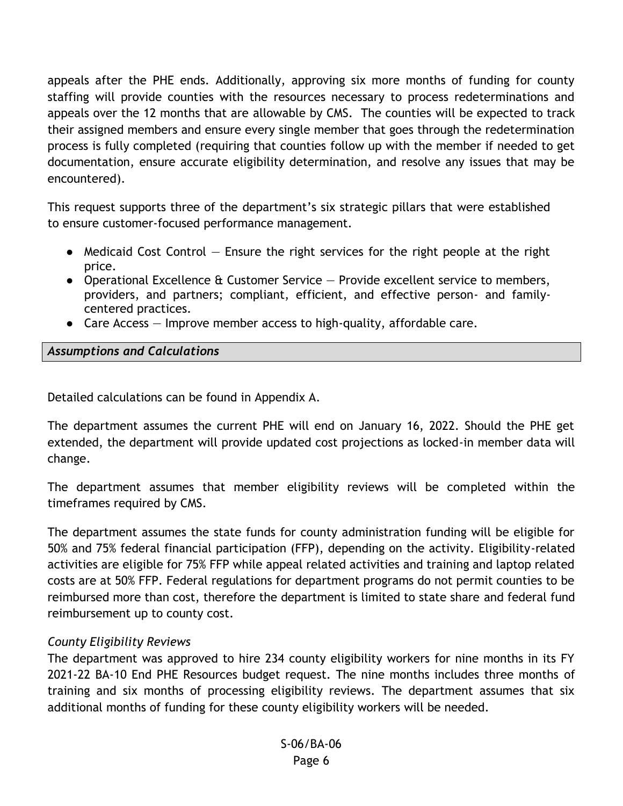appeals after the PHE ends. Additionally, approving six more months of funding for county staffing will provide counties with the resources necessary to process redeterminations and appeals over the 12 months that are allowable by CMS. The counties will be expected to track their assigned members and ensure every single member that goes through the redetermination process is fully completed (requiring that counties follow up with the member if needed to get documentation, ensure accurate eligibility determination, and resolve any issues that may be encountered).

This request supports three of the department's six strategic pillars that were established to ensure customer-focused performance management.

- $\bullet$  Medicaid Cost Control  $-$  Ensure the right services for the right people at the right price.
- Operational Excellence & Customer Service Provide excellent service to members, providers, and partners; compliant, efficient, and effective person- and familycentered practices.
- Care Access  $-$  Improve member access to high-quality, affordable care.

*Assumptions and Calculations*

Detailed calculations can be found in Appendix A.

The department assumes the current PHE will end on January 16, 2022. Should the PHE get extended, the department will provide updated cost projections as locked-in member data will change.

The department assumes that member eligibility reviews will be completed within the timeframes required by CMS.

The department assumes the state funds for county administration funding will be eligible for 50% and 75% federal financial participation (FFP), depending on the activity. Eligibility-related activities are eligible for 75% FFP while appeal related activities and training and laptop related costs are at 50% FFP. Federal regulations for department programs do not permit counties to be reimbursed more than cost, therefore the department is limited to state share and federal fund reimbursement up to county cost.

#### *County Eligibility Reviews*

The department was approved to hire 234 county eligibility workers for nine months in its FY 2021-22 BA-10 End PHE Resources budget request. The nine months includes three months of training and six months of processing eligibility reviews. The department assumes that six additional months of funding for these county eligibility workers will be needed.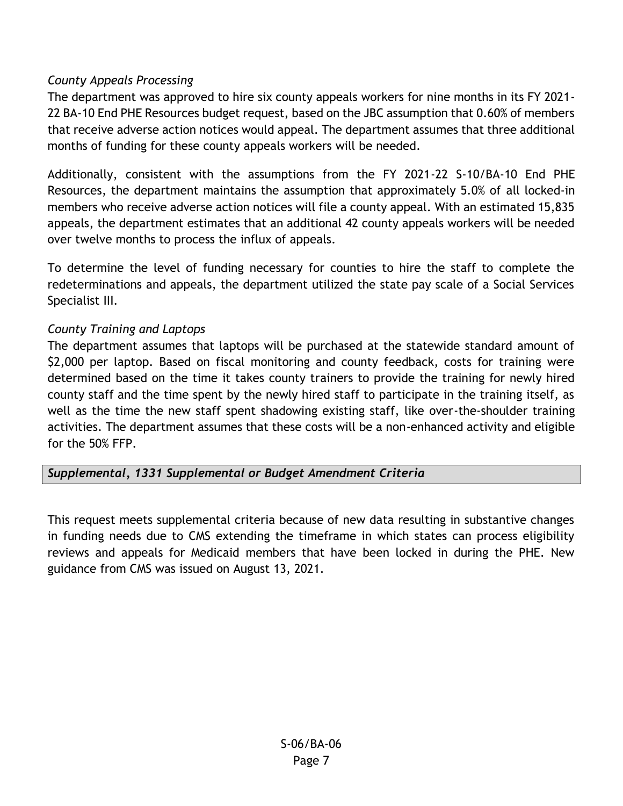#### *County Appeals Processing*

The department was approved to hire six county appeals workers for nine months in its FY 2021- 22 BA-10 End PHE Resources budget request, based on the JBC assumption that 0.60% of members that receive adverse action notices would appeal. The department assumes that three additional months of funding for these county appeals workers will be needed.

Additionally, consistent with the assumptions from the FY 2021-22 S-10/BA-10 End PHE Resources, the department maintains the assumption that approximately 5.0% of all locked-in members who receive adverse action notices will file a county appeal. With an estimated 15,835 appeals, the department estimates that an additional 42 county appeals workers will be needed over twelve months to process the influx of appeals.

To determine the level of funding necessary for counties to hire the staff to complete the redeterminations and appeals, the department utilized the state pay scale of a Social Services Specialist III.

### *County Training and Laptops*

The department assumes that laptops will be purchased at the statewide standard amount of \$2,000 per laptop. Based on fiscal monitoring and county feedback, costs for training were determined based on the time it takes county trainers to provide the training for newly hired county staff and the time spent by the newly hired staff to participate in the training itself, as well as the time the new staff spent shadowing existing staff, like over-the-shoulder training activities. The department assumes that these costs will be a non-enhanced activity and eligible for the 50% FFP.

## *Supplemental, 1331 Supplemental or Budget Amendment Criteria*

This request meets supplemental criteria because of new data resulting in substantive changes in funding needs due to CMS extending the timeframe in which states can process eligibility reviews and appeals for Medicaid members that have been locked in during the PHE. New guidance from CMS was issued on August 13, 2021.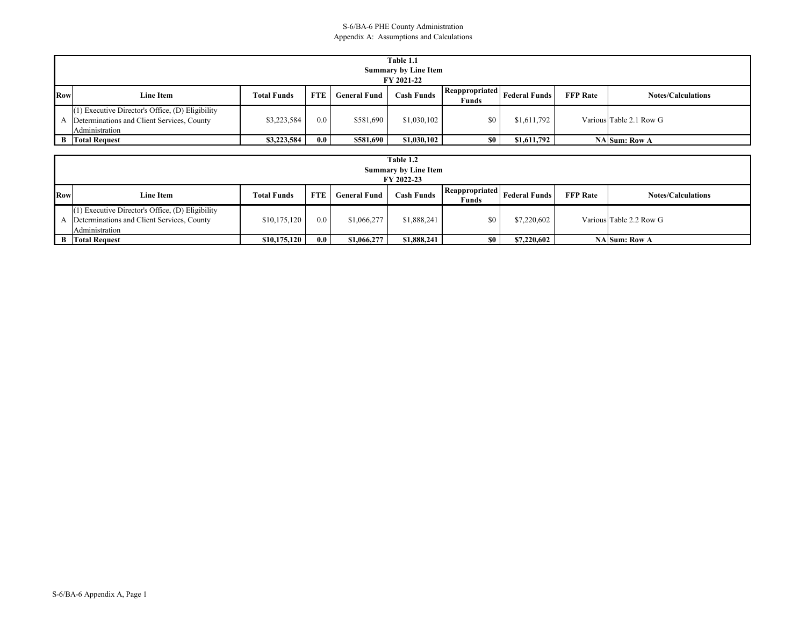|     | Table 1.1<br><b>Summary by Line Item</b><br>FY 2021-22                                                               |                    |            |                     |                   |                                                              |                      |                 |                           |
|-----|----------------------------------------------------------------------------------------------------------------------|--------------------|------------|---------------------|-------------------|--------------------------------------------------------------|----------------------|-----------------|---------------------------|
| Row | Line Item                                                                                                            | <b>Total Funds</b> | <b>FTE</b> | <b>General Fund</b> | <b>Cash Funds</b> | $\blacksquare$ Reappropriated $\blacksquare$<br><b>Funds</b> | <b>Federal Funds</b> | <b>FFP</b> Rate | <b>Notes/Calculations</b> |
|     | $(1)$ Executive Director's Office, $(D)$ Eligibility<br>Determinations and Client Services, County<br>Administration | \$3,223,584        | 0.0        | \$581,690           | \$1,030,102       | \$0                                                          | \$1,611,792          |                 | Various Table 2.1 Row G   |
|     | <b>B</b> Total Request                                                                                               | \$3,223,584        | 0.0        | \$581,690           | \$1,030,102       | \$0                                                          | \$1,611,792          |                 | <b>NA</b> Sum: Row A      |

|     | Table 1.2<br><b>Summary by Line Item</b><br>FY 2022-23                                                           |                    |            |                     |                   |                                |                      |                 |                           |
|-----|------------------------------------------------------------------------------------------------------------------|--------------------|------------|---------------------|-------------------|--------------------------------|----------------------|-----------------|---------------------------|
| Row | <b>Line Item</b>                                                                                                 | <b>Total Funds</b> | <b>FTE</b> | <b>General Fund</b> | <b>Cash Funds</b> | <b>Reappropriated</b><br>Funds | <b>Federal Funds</b> | <b>FFP</b> Rate | <b>Notes/Calculations</b> |
|     | (1) Executive Director's Office, (D) Eligibility<br>Determinations and Client Services, County<br>Administration | \$10,175,120       | 0.0        | \$1,066,277         | \$1,888,241       | \$0                            | \$7,220,602          |                 | Various Table 2.2 Row G   |
| B I | <b>Total Request</b>                                                                                             | \$10,175,120       | 0.0        | \$1,066,277         | \$1,888,241       | SO.                            | \$7,220,602          |                 | <b>NA Sum: Row A</b>      |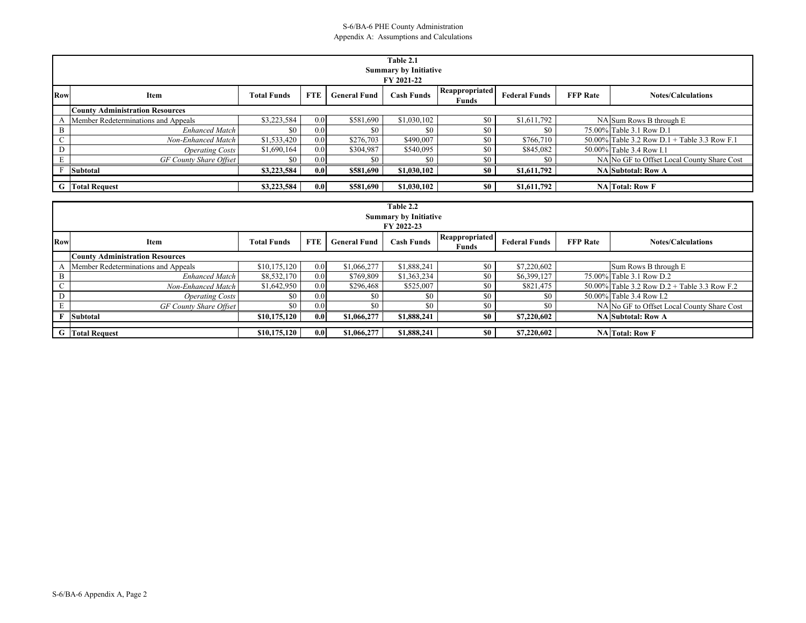|             | Table 2.1<br><b>Summary by Initiative</b><br>FY 2021-22 |                    |                  |                     |                   |                                |                      |                 |                                              |  |
|-------------|---------------------------------------------------------|--------------------|------------------|---------------------|-------------------|--------------------------------|----------------------|-----------------|----------------------------------------------|--|
| Row         | Item                                                    | <b>Total Funds</b> | <b>FTE</b>       | <b>General Fund</b> | <b>Cash Funds</b> | Reappropriated<br><b>Funds</b> | <b>Federal Funds</b> | <b>FFP</b> Rate | <b>Notes/Calculations</b>                    |  |
|             | <b>County Administration Resources</b>                  |                    |                  |                     |                   |                                |                      |                 |                                              |  |
|             | Member Redeterminations and Appeals                     | \$3,223,584        | 0.0              | \$581,690           | \$1,030,102       | \$0                            | \$1,611,792          |                 | NA Sum Rows B through E                      |  |
| B           | <b>Enhanced Match</b>                                   | \$0                | 0.0              | \$0                 | \$0               | \$0                            | \$0                  |                 | 75.00% Table 3.1 Row D.1                     |  |
| $\sim$<br>◡ | Non-Enhanced Match                                      | \$1,533,420        | 0.0              | \$276,703           | \$490,007         | \$0                            | \$766,710            |                 | 50.00% Table 3.2 Row D.1 + Table 3.3 Row F.1 |  |
| D           | <b>Operating Costs</b>                                  | \$1,690,164        | 0.0              | \$304,987           | \$540,095         | \$0                            | \$845,082            |                 | 50.00% Table 3.4 Row I.1                     |  |
|             | <b>GF County Share Offset</b>                           | \$0                | 0.0              | \$0                 | \$0               | \$0                            | \$0                  |                 | NA No GF to Offset Local County Share Cost   |  |
|             | <b>Subtotal</b>                                         | \$3,223,584        | 0.0 <sub>l</sub> | \$581,690           | \$1,030,102       | \$0                            | \$1,611,792          |                 | <b>NA</b> Subtotal: Row A                    |  |
|             |                                                         |                    |                  |                     |                   |                                |                      |                 |                                              |  |
|             | <b>G</b> Total Request                                  | \$3,223,584        | 0.0              | \$581,690           | \$1,030,102       | \$0                            | \$1,611,792          |                 | <b>NA</b> Total: Row F                       |  |

|               | Table 2.2<br><b>Summary by Initiative</b><br>FY 2022-23 |                    |                  |                     |                   |                                |                      |                 |                                              |  |
|---------------|---------------------------------------------------------|--------------------|------------------|---------------------|-------------------|--------------------------------|----------------------|-----------------|----------------------------------------------|--|
| Row           | Item                                                    | <b>Total Funds</b> | <b>FTE</b>       | <b>General Fund</b> | <b>Cash Funds</b> | Reappropriated<br><b>Funds</b> | <b>Federal Funds</b> | <b>FFP</b> Rate | <b>Notes/Calculations</b>                    |  |
|               | <b>County Administration Resources</b>                  |                    |                  |                     |                   |                                |                      |                 |                                              |  |
|               | Member Redeterminations and Appeals                     | \$10,175,120       | 0.0              | \$1,066,277         | \$1,888,241       | \$0                            | \$7,220,602          |                 | Sum Rows B through E                         |  |
| <b>B</b>      | Enhanced Match                                          | \$8,532,170        | 0.0              | \$769,809           | \$1,363,234       | \$0                            | \$6,399,127          |                 | 75.00% Table 3.1 Row D.2                     |  |
| $\mathcal{C}$ | Non-Enhanced Match                                      | \$1,642,950        | 0.0              | \$296,468           | \$525,007         | \$0                            | \$821,475            |                 | 50.00% Table 3.2 Row D.2 + Table 3.3 Row F.2 |  |
| D             | <b>Operating Costs</b>                                  | \$0                | 0.0              | \$0                 | \$0               | \$0                            | \$0                  |                 | 50.00% Table 3.4 Row I.2                     |  |
| E             | <b>GF County Share Offset</b>                           | \$0                | 0.0              | \$0                 | \$0               | \$0                            | \$0                  |                 | NA No GF to Offset Local County Share Cost   |  |
|               | F Subtotal                                              | \$10,175,120       | 0.0 <sub>1</sub> | \$1,066,277         | \$1,888,241       | <b>SO</b>                      | \$7,220,602          |                 | NA Subtotal: Row A                           |  |
|               |                                                         |                    |                  |                     |                   |                                |                      |                 |                                              |  |
|               | <b>G</b> Total Request                                  | \$10,175,120       | 0.0 <sub>1</sub> | \$1,066,277         | \$1,888,241       | - \$0                          | \$7,220,602          |                 | NA Total: Row F                              |  |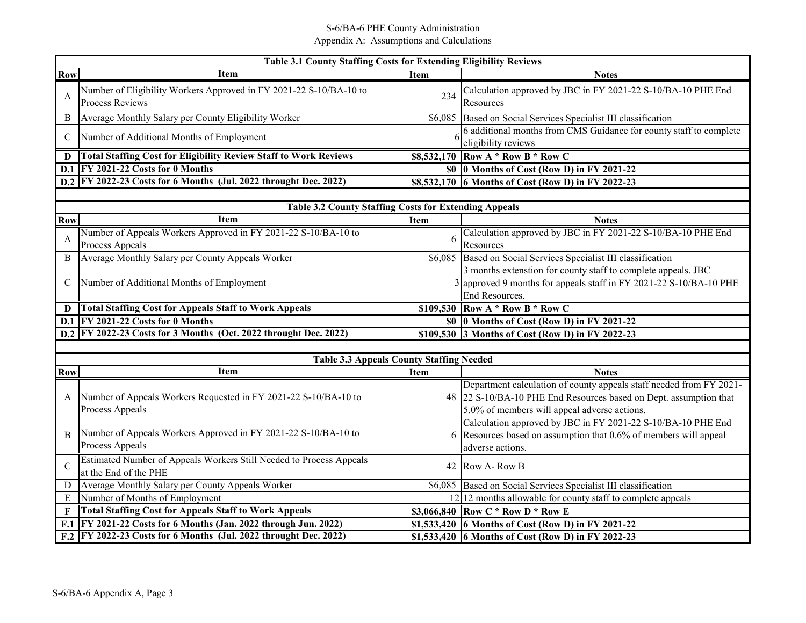|             | <b>Table 3.1 County Staffing Costs for Extending Eligibility Reviews</b>                     |                                                 |                                                                                                                                                                                          |
|-------------|----------------------------------------------------------------------------------------------|-------------------------------------------------|------------------------------------------------------------------------------------------------------------------------------------------------------------------------------------------|
| <b>Row</b>  | <b>Item</b>                                                                                  | <b>Item</b>                                     | <b>Notes</b>                                                                                                                                                                             |
| A           | Number of Eligibility Workers Approved in FY 2021-22 S-10/BA-10 to<br>Process Reviews        | 234                                             | Calculation approved by JBC in FY 2021-22 S-10/BA-10 PHE End<br>Resources                                                                                                                |
| B           | Average Monthly Salary per County Eligibility Worker                                         | \$6,085                                         | Based on Social Services Specialist III classification                                                                                                                                   |
| C           | Number of Additional Months of Employment                                                    |                                                 | 6 additional months from CMS Guidance for county staff to complete<br>eligibility reviews                                                                                                |
| D           | <b>Total Staffing Cost for Eligibility Review Staff to Work Reviews</b>                      | \$8,532,170                                     | Row A * Row B * Row C                                                                                                                                                                    |
| D.1         | FY 2021-22 Costs for 0 Months                                                                |                                                 | \$0   0 Months of Cost (Row D) in FY 2021-22                                                                                                                                             |
| D.2         | FY 2022-23 Costs for 6 Months (Jul. 2022 throught Dec. 2022)                                 |                                                 | \$8,532,170 6 Months of Cost (Row D) in FY 2022-23                                                                                                                                       |
|             |                                                                                              |                                                 |                                                                                                                                                                                          |
|             | <b>Table 3.2 County Staffing Costs for Extending Appeals</b>                                 |                                                 |                                                                                                                                                                                          |
| <b>Row</b>  | <b>Item</b>                                                                                  | Item                                            | <b>Notes</b>                                                                                                                                                                             |
| A           | Number of Appeals Workers Approved in FY 2021-22 S-10/BA-10 to<br>Process Appeals            | 6                                               | Calculation approved by JBC in FY 2021-22 S-10/BA-10 PHE End<br>Resources                                                                                                                |
| B           | Average Monthly Salary per County Appeals Worker                                             | \$6,085                                         | Based on Social Services Specialist III classification                                                                                                                                   |
| C           | Number of Additional Months of Employment                                                    |                                                 | 3 months extenstion for county staff to complete appeals. JBC<br>approved 9 months for appeals staff in FY 2021-22 S-10/BA-10 PHE<br>End Resources.                                      |
| D           | <b>Total Staffing Cost for Appeals Staff to Work Appeals</b>                                 |                                                 | \$109,530 Row A * Row B * Row C                                                                                                                                                          |
| D.1         | FY 2021-22 Costs for 0 Months                                                                |                                                 | \$0   0 Months of Cost (Row D) in FY 2021-22                                                                                                                                             |
|             | D.2 FY 2022-23 Costs for 3 Months (Oct. 2022 throught Dec. 2022)                             |                                                 | \$109,530 3 Months of Cost (Row D) in FY 2022-23                                                                                                                                         |
|             |                                                                                              |                                                 |                                                                                                                                                                                          |
|             |                                                                                              | <b>Table 3.3 Appeals County Staffing Needed</b> |                                                                                                                                                                                          |
| <b>Row</b>  | <b>Item</b>                                                                                  | <b>Item</b>                                     | <b>Notes</b>                                                                                                                                                                             |
| A           | Number of Appeals Workers Requested in FY 2021-22 S-10/BA-10 to<br>Process Appeals           |                                                 | Department calculation of county appeals staff needed from FY 2021-<br>48 22 S-10/BA-10 PHE End Resources based on Dept. assumption that<br>5.0% of members will appeal adverse actions. |
| B           | Number of Appeals Workers Approved in FY 2021-22 S-10/BA-10 to<br>Process Appeals            |                                                 | Calculation approved by JBC in FY 2021-22 S-10/BA-10 PHE End<br>Resources based on assumption that 0.6% of members will appeal<br>adverse actions.                                       |
| $\mathbf C$ | Estimated Number of Appeals Workers Still Needed to Process Appeals<br>at the End of the PHE | 42                                              | Row A-Row B                                                                                                                                                                              |
| D           | Average Monthly Salary per County Appeals Worker                                             |                                                 | \$6,085 Based on Social Services Specialist III classification                                                                                                                           |
| E           | Number of Months of Employment                                                               |                                                 | 12 12 months allowable for county staff to complete appeals                                                                                                                              |
| F           | <b>Total Staffing Cost for Appeals Staff to Work Appeals</b>                                 |                                                 | \$3,066,840 Row C * Row D * Row E                                                                                                                                                        |
| F.1         | FY 2021-22 Costs for 6 Months (Jan. 2022 through Jun. 2022)                                  |                                                 | \$1,533,420 6 Months of Cost (Row D) in FY 2021-22                                                                                                                                       |
| F.2         | FY 2022-23 Costs for 6 Months (Jul. 2022 throught Dec. 2022)                                 |                                                 | \$1,533,420 6 Months of Cost (Row D) in FY 2022-23                                                                                                                                       |